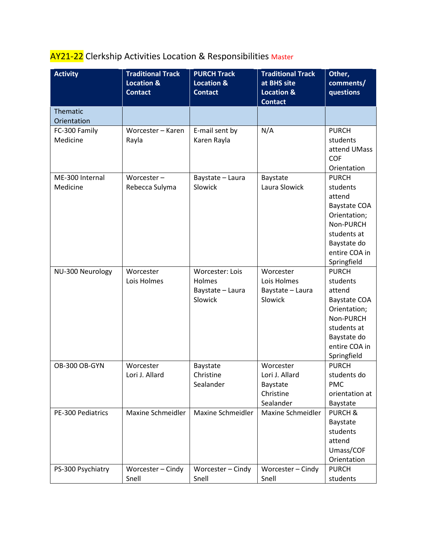## AY21-22 Clerkship Activities Location & Responsibilities Master

| <b>Activity</b>   | <b>Traditional Track</b><br><b>Location &amp;</b> | <b>PURCH Track</b><br><b>Location &amp;</b> | <b>Traditional Track</b><br>at BHS site | Other,<br>comments/       |
|-------------------|---------------------------------------------------|---------------------------------------------|-----------------------------------------|---------------------------|
|                   | <b>Contact</b>                                    | <b>Contact</b>                              | <b>Location &amp;</b>                   | questions                 |
|                   |                                                   |                                             | <b>Contact</b>                          |                           |
| Thematic          |                                                   |                                             |                                         |                           |
| Orientation       |                                                   |                                             |                                         |                           |
| FC-300 Family     | Worcester - Karen                                 | E-mail sent by                              | N/A                                     | <b>PURCH</b>              |
| Medicine          | Rayla                                             | Karen Rayla                                 |                                         | students                  |
|                   |                                                   |                                             |                                         | attend UMass              |
|                   |                                                   |                                             |                                         | COF                       |
|                   |                                                   |                                             |                                         | Orientation               |
| ME-300 Internal   | Worcester-                                        | Baystate - Laura                            | Baystate                                | <b>PURCH</b>              |
| Medicine          | Rebecca Sulyma                                    | Slowick                                     | Laura Slowick                           | students                  |
|                   |                                                   |                                             |                                         | attend                    |
|                   |                                                   |                                             |                                         | <b>Baystate COA</b>       |
|                   |                                                   |                                             |                                         | Orientation;<br>Non-PURCH |
|                   |                                                   |                                             |                                         | students at               |
|                   |                                                   |                                             |                                         | Baystate do               |
|                   |                                                   |                                             |                                         | entire COA in             |
|                   |                                                   |                                             |                                         | Springfield               |
| NU-300 Neurology  | Worcester                                         | Worcester: Lois                             | Worcester                               | <b>PURCH</b>              |
|                   | Lois Holmes                                       | Holmes                                      | Lois Holmes                             | students                  |
|                   |                                                   | Baystate - Laura                            | Baystate - Laura                        | attend                    |
|                   |                                                   | Slowick                                     | Slowick                                 | <b>Baystate COA</b>       |
|                   |                                                   |                                             |                                         | Orientation;              |
|                   |                                                   |                                             |                                         | Non-PURCH                 |
|                   |                                                   |                                             |                                         | students at               |
|                   |                                                   |                                             |                                         | Baystate do               |
|                   |                                                   |                                             |                                         | entire COA in             |
|                   |                                                   |                                             |                                         | Springfield               |
| OB-300 OB-GYN     | Worcester                                         | Baystate                                    | Worcester                               | <b>PURCH</b>              |
|                   | Lori J. Allard                                    | Christine                                   | Lori J. Allard                          | students do               |
|                   |                                                   | Sealander                                   | Baystate                                | <b>PMC</b>                |
|                   |                                                   |                                             | Christine                               | orientation at            |
|                   |                                                   |                                             | Sealander                               | Baystate                  |
| PE-300 Pediatrics | Maxine Schmeidler                                 | Maxine Schmeidler                           | Maxine Schmeidler                       | <b>PURCH &amp;</b>        |
|                   |                                                   |                                             |                                         | Baystate<br>students      |
|                   |                                                   |                                             |                                         | attend                    |
|                   |                                                   |                                             |                                         | Umass/COF                 |
|                   |                                                   |                                             |                                         | Orientation               |
| PS-300 Psychiatry | Worcester - Cindy                                 | Worcester - Cindy                           | Worcester - Cindy                       | <b>PURCH</b>              |
|                   | Snell                                             | Snell                                       | Snell                                   | students                  |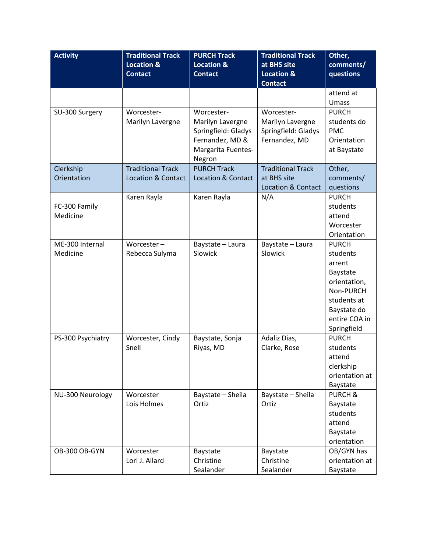| <b>Activity</b>   | <b>Traditional Track</b>      | <b>PURCH Track</b>            | <b>Traditional Track</b>      | Other,             |
|-------------------|-------------------------------|-------------------------------|-------------------------------|--------------------|
|                   | <b>Location &amp;</b>         | <b>Location &amp;</b>         | at BHS site                   | comments/          |
|                   | <b>Contact</b>                | <b>Contact</b>                | <b>Location &amp;</b>         | questions          |
|                   |                               |                               | <b>Contact</b>                |                    |
|                   |                               |                               |                               | attend at          |
|                   |                               |                               |                               | Umass              |
| SU-300 Surgery    | Worcester-                    | Worcester-                    | Worcester-                    | <b>PURCH</b>       |
|                   | Marilyn Lavergne              | Marilyn Lavergne              | Marilyn Lavergne              | students do        |
|                   |                               | Springfield: Gladys           | Springfield: Gladys           | <b>PMC</b>         |
|                   |                               | Fernandez, MD &               | Fernandez, MD                 | Orientation        |
|                   |                               | Margarita Fuentes-            |                               | at Baystate        |
|                   |                               | Negron                        |                               |                    |
| Clerkship         | <b>Traditional Track</b>      | <b>PURCH Track</b>            | <b>Traditional Track</b>      | Other,             |
| Orientation       | <b>Location &amp; Contact</b> | <b>Location &amp; Contact</b> | at BHS site                   | comments/          |
|                   |                               |                               | <b>Location &amp; Contact</b> | questions          |
|                   | Karen Rayla                   | Karen Rayla                   | N/A                           | <b>PURCH</b>       |
| FC-300 Family     |                               |                               |                               | students           |
| Medicine          |                               |                               |                               | attend             |
|                   |                               |                               |                               | Worcester          |
|                   |                               |                               |                               | Orientation        |
| ME-300 Internal   | Worcester $-$                 | Baystate - Laura              | Baystate - Laura              | <b>PURCH</b>       |
| Medicine          | Rebecca Sulyma                | Slowick                       | Slowick                       | students           |
|                   |                               |                               |                               | arrent             |
|                   |                               |                               |                               | Baystate           |
|                   |                               |                               |                               | orientation,       |
|                   |                               |                               |                               | Non-PURCH          |
|                   |                               |                               |                               | students at        |
|                   |                               |                               |                               | Baystate do        |
|                   |                               |                               |                               | entire COA in      |
|                   |                               |                               |                               | Springfield        |
| PS-300 Psychiatry | Worcester, Cindy              | Baystate, Sonja               | Adaliz Dias,                  | <b>PURCH</b>       |
|                   | Snell                         | Riyas, MD                     | Clarke, Rose                  | students           |
|                   |                               |                               |                               | attend             |
|                   |                               |                               |                               | clerkship          |
|                   |                               |                               |                               | orientation at     |
|                   |                               |                               |                               | Baystate           |
| NU-300 Neurology  | Worcester                     | Baystate - Sheila             | Baystate - Sheila             | <b>PURCH &amp;</b> |
|                   | Lois Holmes                   | Ortiz                         | Ortiz                         | Baystate           |
|                   |                               |                               |                               | students           |
|                   |                               |                               |                               | attend             |
|                   |                               |                               |                               | Baystate           |
|                   |                               |                               |                               | orientation        |
| OB-300 OB-GYN     | Worcester                     | Baystate                      | Baystate                      | OB/GYN has         |
|                   | Lori J. Allard                | Christine                     | Christine                     | orientation at     |
|                   |                               | Sealander                     | Sealander                     | Baystate           |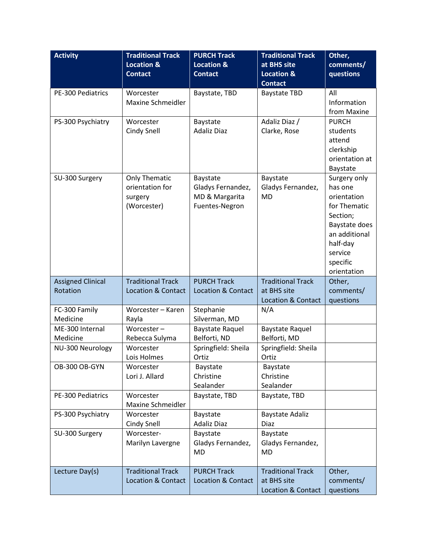| <b>Activity</b>          | <b>Traditional Track</b>                | <b>PURCH Track</b>            | <b>Traditional Track</b>      | Other,                  |
|--------------------------|-----------------------------------------|-------------------------------|-------------------------------|-------------------------|
|                          | <b>Location &amp;</b>                   | <b>Location &amp;</b>         | at BHS site                   | comments/               |
|                          | <b>Contact</b>                          | <b>Contact</b>                | <b>Location &amp;</b>         | questions               |
|                          |                                         |                               | <b>Contact</b>                |                         |
| <b>PE-300 Pediatrics</b> | Worcester                               | Baystate, TBD                 | <b>Baystate TBD</b>           | All                     |
|                          | Maxine Schmeidler                       |                               |                               | Information             |
|                          |                                         |                               |                               | from Maxine             |
| PS-300 Psychiatry        | Worcester                               | Baystate                      | Adaliz Diaz /                 | <b>PURCH</b>            |
|                          | Cindy Snell                             | <b>Adaliz Diaz</b>            | Clarke, Rose                  | students                |
|                          |                                         |                               |                               | attend                  |
|                          |                                         |                               |                               | clerkship               |
|                          |                                         |                               |                               | orientation at          |
|                          |                                         |                               |                               | Baystate                |
| SU-300 Surgery           | <b>Only Thematic</b><br>orientation for | Baystate<br>Gladys Fernandez, | Baystate<br>Gladys Fernandez, | Surgery only<br>has one |
|                          | surgery                                 | MD & Margarita                | <b>MD</b>                     | orientation             |
|                          | (Worcester)                             | Fuentes-Negron                |                               | for Thematic            |
|                          |                                         |                               |                               | Section;                |
|                          |                                         |                               |                               | Baystate does           |
|                          |                                         |                               |                               | an additional           |
|                          |                                         |                               |                               | half-day                |
|                          |                                         |                               |                               | service                 |
|                          |                                         |                               |                               | specific                |
|                          |                                         |                               |                               | orientation             |
| <b>Assigned Clinical</b> | <b>Traditional Track</b>                | <b>PURCH Track</b>            | <b>Traditional Track</b>      | Other,                  |
| Rotation                 | <b>Location &amp; Contact</b>           | <b>Location &amp; Contact</b> | at BHS site                   | comments/               |
|                          |                                         |                               | Location & Contact            | questions               |
| FC-300 Family            | Worcester - Karen                       | Stephanie                     | N/A                           |                         |
| Medicine                 | Rayla                                   | Silverman, MD                 |                               |                         |
| ME-300 Internal          | Worcester-                              | <b>Baystate Raquel</b>        | <b>Baystate Raquel</b>        |                         |
| Medicine                 | Rebecca Sulyma                          | Belforti, ND                  | Belforti, MD                  |                         |
| NU-300 Neurology         | Worcester                               | Springfield: Sheila<br>Ortiz  | Springfield: Sheila<br>Ortiz  |                         |
| OB-300 OB-GYN            | Lois Holmes<br>Worcester                |                               |                               |                         |
|                          | Lori J. Allard                          | Baystate<br>Christine         | Baystate<br>Christine         |                         |
|                          |                                         | Sealander                     | Sealander                     |                         |
| PE-300 Pediatrics        | Worcester                               | Baystate, TBD                 | Baystate, TBD                 |                         |
|                          | Maxine Schmeidler                       |                               |                               |                         |
| PS-300 Psychiatry        | Worcester                               | Baystate                      | <b>Baystate Adaliz</b>        |                         |
|                          | Cindy Snell                             | <b>Adaliz Diaz</b>            | Diaz                          |                         |
| SU-300 Surgery           | Worcester-                              | Baystate                      | Baystate                      |                         |
|                          | Marilyn Lavergne                        | Gladys Fernandez,             | Gladys Fernandez,             |                         |
|                          |                                         | <b>MD</b>                     | <b>MD</b>                     |                         |
|                          |                                         |                               |                               |                         |
| Lecture Day(s)           | <b>Traditional Track</b>                | <b>PURCH Track</b>            | <b>Traditional Track</b>      | Other,                  |
|                          | <b>Location &amp; Contact</b>           | <b>Location &amp; Contact</b> | at BHS site                   | comments/               |
|                          |                                         |                               | Location & Contact            | questions               |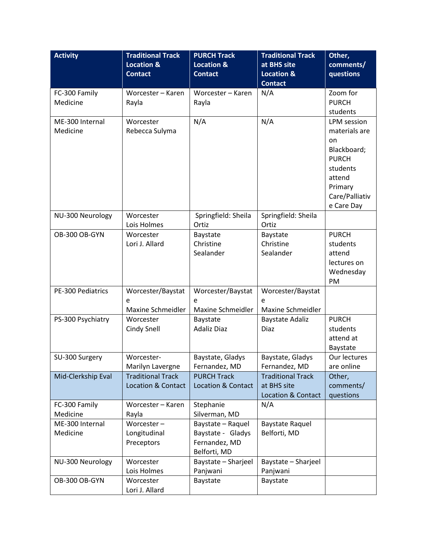| <b>Activity</b>    | <b>Traditional Track</b>      | <b>PURCH Track</b>            | <b>Traditional Track</b> | Other,                |
|--------------------|-------------------------------|-------------------------------|--------------------------|-----------------------|
|                    | <b>Location &amp;</b>         | <b>Location &amp;</b>         | at BHS site              | comments/             |
|                    | <b>Contact</b>                | <b>Contact</b>                | <b>Location &amp;</b>    | questions             |
|                    |                               |                               | <b>Contact</b>           |                       |
| FC-300 Family      | Worcester - Karen             | Worcester - Karen             | N/A                      | Zoom for              |
| Medicine           | Rayla                         | Rayla                         |                          | <b>PURCH</b>          |
|                    |                               |                               |                          | students              |
| ME-300 Internal    | Worcester                     | N/A                           | N/A                      | LPM session           |
| Medicine           | Rebecca Sulyma                |                               |                          | materials are         |
|                    |                               |                               |                          | on                    |
|                    |                               |                               |                          | Blackboard;           |
|                    |                               |                               |                          | <b>PURCH</b>          |
|                    |                               |                               |                          | students              |
|                    |                               |                               |                          | attend                |
|                    |                               |                               |                          | Primary               |
|                    |                               |                               |                          | Care/Palliativ        |
|                    |                               |                               |                          | e Care Day            |
| NU-300 Neurology   | Worcester                     | Springfield: Sheila           | Springfield: Sheila      |                       |
|                    | Lois Holmes                   | Ortiz                         | Ortiz                    |                       |
| OB-300 OB-GYN      | Worcester                     | Baystate                      | Baystate                 | <b>PURCH</b>          |
|                    | Lori J. Allard                | Christine<br>Sealander        | Christine<br>Sealander   | students              |
|                    |                               |                               |                          | attend<br>lectures on |
|                    |                               |                               |                          | Wednesday             |
|                    |                               |                               |                          | PM                    |
| PE-300 Pediatrics  | Worcester/Baystat             | Worcester/Baystat             | Worcester/Baystat        |                       |
|                    | e                             | e                             | e                        |                       |
|                    | Maxine Schmeidler             | Maxine Schmeidler             | Maxine Schmeidler        |                       |
| PS-300 Psychiatry  | Worcester                     | Baystate                      | <b>Baystate Adaliz</b>   | <b>PURCH</b>          |
|                    | Cindy Snell                   | <b>Adaliz Diaz</b>            | <b>Diaz</b>              | students              |
|                    |                               |                               |                          | attend at             |
|                    |                               |                               |                          | Baystate              |
| SU-300 Surgery     | Worcester-                    | Baystate, Gladys              | Baystate, Gladys         | Our lectures          |
|                    | Marilyn Lavergne              | Fernandez, MD                 | Fernandez, MD            | are online            |
| Mid-Clerkship Eval | <b>Traditional Track</b>      | <b>PURCH Track</b>            | <b>Traditional Track</b> | Other,                |
|                    | <b>Location &amp; Contact</b> | <b>Location &amp; Contact</b> | at BHS site              | comments/             |
|                    |                               |                               | Location & Contact       | questions             |
| FC-300 Family      | Worcester - Karen             | Stephanie                     | N/A                      |                       |
| Medicine           | Rayla                         | Silverman, MD                 |                          |                       |
| ME-300 Internal    | Worcester-                    | Baystate - Raquel             | <b>Baystate Raquel</b>   |                       |
| Medicine           | Longitudinal                  | Baystate - Gladys             | Belforti, MD             |                       |
|                    | Preceptors                    | Fernandez, MD                 |                          |                       |
|                    |                               | Belforti, MD                  |                          |                       |
| NU-300 Neurology   | Worcester                     | Baystate - Sharjeel           | Baystate - Sharjeel      |                       |
|                    | Lois Holmes                   | Panjwani                      | Panjwani                 |                       |
| OB-300 OB-GYN      | Worcester                     | Baystate                      | Baystate                 |                       |
|                    | Lori J. Allard                |                               |                          |                       |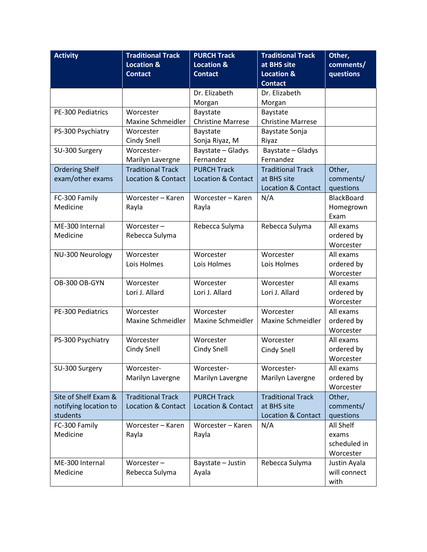| <b>Activity</b>       | <b>Traditional Track</b>      | <b>PURCH Track</b>            | <b>Traditional Track</b> | Other,            |
|-----------------------|-------------------------------|-------------------------------|--------------------------|-------------------|
|                       | <b>Location &amp;</b>         | <b>Location &amp;</b>         | at BHS site              | comments/         |
|                       | <b>Contact</b>                | <b>Contact</b>                | <b>Location &amp;</b>    | questions         |
|                       |                               |                               | <b>Contact</b>           |                   |
|                       |                               | Dr. Elizabeth                 | Dr. Elizabeth            |                   |
|                       |                               | Morgan                        | Morgan                   |                   |
| PE-300 Pediatrics     | Worcester                     | Baystate                      | Baystate                 |                   |
|                       | Maxine Schmeidler             | <b>Christine Marrese</b>      | <b>Christine Marrese</b> |                   |
| PS-300 Psychiatry     | Worcester                     | Baystate                      | Baystate Sonja           |                   |
|                       | Cindy Snell                   | Sonja Riyaz, M                | Riyaz                    |                   |
| SU-300 Surgery        | Worcester-                    | Baystate - Gladys             | Baystate - Gladys        |                   |
|                       | Marilyn Lavergne              | Fernandez                     | Fernandez                |                   |
| <b>Ordering Shelf</b> | <b>Traditional Track</b>      | <b>PURCH Track</b>            | <b>Traditional Track</b> | Other,            |
| exam/other exams      | <b>Location &amp; Contact</b> | <b>Location &amp; Contact</b> | at BHS site              | comments/         |
|                       |                               |                               | Location & Contact       | questions         |
| FC-300 Family         | Worcester - Karen             | Worcester - Karen             | N/A                      | <b>BlackBoard</b> |
| Medicine              | Rayla                         | Rayla                         |                          | Homegrown         |
|                       |                               |                               |                          | Exam              |
| ME-300 Internal       | Worcester $-$                 | Rebecca Sulyma                | Rebecca Sulyma           | All exams         |
| Medicine              | Rebecca Sulyma                |                               |                          | ordered by        |
|                       |                               |                               |                          | Worcester         |
| NU-300 Neurology      | Worcester                     | Worcester                     | Worcester                | All exams         |
|                       | Lois Holmes                   | Lois Holmes                   | Lois Holmes              | ordered by        |
|                       |                               |                               |                          | Worcester         |
| OB-300 OB-GYN         | Worcester                     | Worcester                     | Worcester                | All exams         |
|                       | Lori J. Allard                | Lori J. Allard                | Lori J. Allard           | ordered by        |
|                       |                               |                               |                          | Worcester         |
| PE-300 Pediatrics     | Worcester                     | Worcester                     | Worcester                | All exams         |
|                       | Maxine Schmeidler             | Maxine Schmeidler             | Maxine Schmeidler        | ordered by        |
|                       |                               |                               |                          | Worcester         |
| PS-300 Psychiatry     | Worcester                     | Worcester                     | Worcester                | All exams         |
|                       | <b>Cindy Snell</b>            | <b>Cindy Snell</b>            | Cindy Snell              | ordered by        |
|                       |                               |                               |                          | Worcester         |
| SU-300 Surgery        | Worcester-                    | Worcester-                    | Worcester-               | All exams         |
|                       | Marilyn Lavergne              | Marilyn Lavergne              | Marilyn Lavergne         | ordered by        |
|                       |                               |                               |                          | Worcester         |
| Site of Shelf Exam &  | <b>Traditional Track</b>      | <b>PURCH Track</b>            | <b>Traditional Track</b> | Other,            |
| notifying location to | <b>Location &amp; Contact</b> | <b>Location &amp; Contact</b> | at BHS site              | comments/         |
| students              |                               |                               | Location & Contact       | questions         |
| FC-300 Family         | Worcester - Karen             | Worcester - Karen             | N/A                      | All Shelf         |
| Medicine              | Rayla                         | Rayla                         |                          | exams             |
|                       |                               |                               |                          | scheduled in      |
|                       |                               |                               |                          | Worcester         |
| ME-300 Internal       | Worcester-                    | Baystate - Justin             | Rebecca Sulyma           | Justin Ayala      |
| Medicine              | Rebecca Sulyma                | Ayala                         |                          | will connect      |
|                       |                               |                               |                          | with              |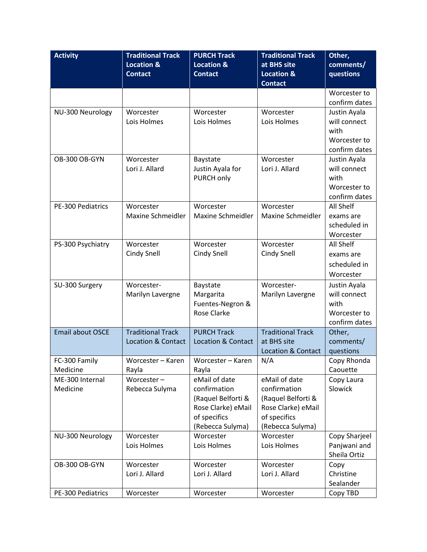| <b>Activity</b>         | <b>Traditional Track</b>      | <b>PURCH Track</b>            | <b>Traditional Track</b>      | Other,                       |
|-------------------------|-------------------------------|-------------------------------|-------------------------------|------------------------------|
|                         | <b>Location &amp;</b>         | <b>Location &amp;</b>         | at BHS site                   | comments/                    |
|                         | <b>Contact</b>                | <b>Contact</b>                | <b>Location &amp;</b>         | questions                    |
|                         |                               |                               | <b>Contact</b>                |                              |
|                         |                               |                               |                               | Worcester to                 |
|                         | Worcester                     | Worcester                     | Worcester                     | confirm dates                |
| NU-300 Neurology        | Lois Holmes                   | Lois Holmes                   | Lois Holmes                   | Justin Ayala<br>will connect |
|                         |                               |                               |                               | with                         |
|                         |                               |                               |                               | Worcester to                 |
|                         |                               |                               |                               | confirm dates                |
| OB-300 OB-GYN           | Worcester                     | Baystate                      | Worcester                     | Justin Ayala                 |
|                         | Lori J. Allard                | Justin Ayala for              | Lori J. Allard                | will connect                 |
|                         |                               | PURCH only                    |                               | with                         |
|                         |                               |                               |                               | Worcester to                 |
|                         |                               |                               |                               | confirm dates                |
| PE-300 Pediatrics       | Worcester                     | Worcester                     | Worcester                     | All Shelf                    |
|                         | Maxine Schmeidler             | Maxine Schmeidler             | Maxine Schmeidler             | exams are                    |
|                         |                               |                               |                               | scheduled in                 |
|                         |                               |                               |                               | Worcester                    |
| PS-300 Psychiatry       | Worcester                     | Worcester                     | Worcester                     | All Shelf                    |
|                         | Cindy Snell                   | Cindy Snell                   | Cindy Snell                   | exams are                    |
|                         |                               |                               |                               | scheduled in                 |
|                         |                               |                               |                               | Worcester                    |
| SU-300 Surgery          | Worcester-                    | Baystate                      | Worcester-                    | Justin Ayala                 |
|                         | Marilyn Lavergne              | Margarita<br>Fuentes-Negron & | Marilyn Lavergne              | will connect<br>with         |
|                         |                               | <b>Rose Clarke</b>            |                               | Worcester to                 |
|                         |                               |                               |                               | confirm dates                |
| <b>Email about OSCE</b> | <b>Traditional Track</b>      | <b>PURCH Track</b>            | <b>Traditional Track</b>      | Other,                       |
|                         | <b>Location &amp; Contact</b> | <b>Location &amp; Contact</b> | at BHS site                   | comments/                    |
|                         |                               |                               | <b>Location &amp; Contact</b> | questions                    |
| FC-300 Family           | Worcester - Karen             | Worcester - Karen             | N/A                           | Copy Rhonda                  |
| Medicine                | Rayla                         | Rayla                         |                               | Caouette                     |
| ME-300 Internal         | Worcester-                    | eMail of date                 | eMail of date                 | Copy Laura                   |
| Medicine                | Rebecca Sulyma                | confirmation                  | confirmation                  | Slowick                      |
|                         |                               | (Raquel Belforti &            | (Raquel Belforti &            |                              |
|                         |                               | Rose Clarke) eMail            | Rose Clarke) eMail            |                              |
|                         |                               | of specifics                  | of specifics                  |                              |
| NU-300 Neurology        | Worcester                     | (Rebecca Sulyma)<br>Worcester | (Rebecca Sulyma)<br>Worcester | Copy Sharjeel                |
|                         | Lois Holmes                   | Lois Holmes                   | Lois Holmes                   | Panjwani and                 |
|                         |                               |                               |                               | Sheila Ortiz                 |
| OB-300 OB-GYN           | Worcester                     | Worcester                     | Worcester                     | Copy                         |
|                         | Lori J. Allard                | Lori J. Allard                | Lori J. Allard                | Christine                    |
|                         |                               |                               |                               | Sealander                    |
| PE-300 Pediatrics       | Worcester                     | Worcester                     | Worcester                     | Copy TBD                     |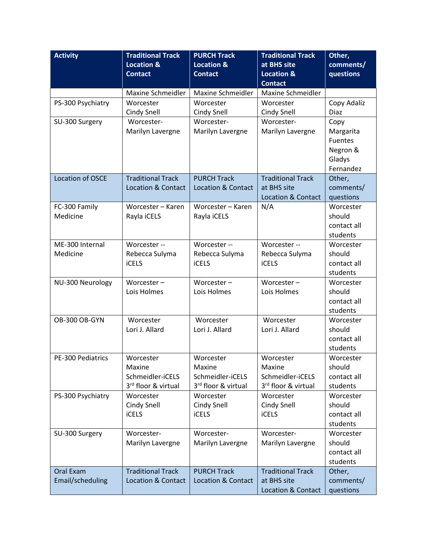| <b>Activity</b>   | <b>Traditional Track</b>      | <b>PURCH Track</b>            | <b>Traditional Track</b>          | Other,                  |
|-------------------|-------------------------------|-------------------------------|-----------------------------------|-------------------------|
|                   | <b>Location &amp;</b>         | <b>Location &amp;</b>         | at BHS site                       | comments/               |
|                   | <b>Contact</b>                | <b>Contact</b>                | <b>Location &amp;</b>             | questions               |
|                   |                               |                               | <b>Contact</b>                    |                         |
|                   | Maxine Schmeidler             | Maxine Schmeidler             | Maxine Schmeidler                 |                         |
| PS-300 Psychiatry | Worcester                     | Worcester                     | Worcester                         | Copy Adaliz             |
|                   | Cindy Snell                   | <b>Cindy Snell</b>            | Cindy Snell                       | Diaz                    |
| SU-300 Surgery    | Worcester-                    | Worcester-                    | Worcester-                        | Copy                    |
|                   | Marilyn Lavergne              | Marilyn Lavergne              | Marilyn Lavergne                  | Margarita               |
|                   |                               |                               |                                   | <b>Fuentes</b>          |
|                   |                               |                               |                                   | Negron &<br>Gladys      |
|                   |                               |                               |                                   | Fernandez               |
| Location of OSCE  | <b>Traditional Track</b>      | <b>PURCH Track</b>            | <b>Traditional Track</b>          | Other,                  |
|                   | <b>Location &amp; Contact</b> | <b>Location &amp; Contact</b> | at BHS site                       | comments/               |
|                   |                               |                               | Location & Contact                | questions               |
| FC-300 Family     | Worcester - Karen             | Worcester - Karen             | N/A                               | Worcester               |
| Medicine          | Rayla iCELS                   | Rayla iCELS                   |                                   | should                  |
|                   |                               |                               |                                   | contact all             |
|                   |                               |                               |                                   | students                |
| ME-300 Internal   | Worcester --                  | Worcester --                  | Worcester --                      | Worcester               |
| Medicine          | Rebecca Sulyma                | Rebecca Sulyma                | Rebecca Sulyma                    | should                  |
|                   | <b>iCELS</b>                  | <b>iCELS</b>                  | <b>iCELS</b>                      | contact all             |
|                   |                               |                               |                                   | students                |
| NU-300 Neurology  | Worcester $-$                 | Worcester $-$                 | Worcester $-$                     | Worcester               |
|                   | Lois Holmes                   | Lois Holmes                   | Lois Holmes                       | should                  |
|                   |                               |                               |                                   | contact all<br>students |
| OB-300 OB-GYN     | Worcester                     | Worcester                     | Worcester                         | Worcester               |
|                   | Lori J. Allard                | Lori J. Allard                | Lori J. Allard                    | should                  |
|                   |                               |                               |                                   | contact all             |
|                   |                               |                               |                                   | students                |
| PE-300 Pediatrics | Worcester                     | Worcester                     | Worcester                         | Worcester               |
|                   | Maxine                        | Maxine                        | Maxine                            | should                  |
|                   | Schmeidler-iCELS              | Schmeidler-iCELS              | Schmeidler-iCELS                  | contact all             |
|                   | 3rd floor & virtual           | 3rd floor & virtual           | 3rd floor & virtual               | students                |
| PS-300 Psychiatry | Worcester                     | Worcester                     | Worcester                         | Worcester               |
|                   | Cindy Snell                   | Cindy Snell                   | Cindy Snell                       | should                  |
|                   | <b>iCELS</b>                  | <b>iCELS</b>                  | <b>iCELS</b>                      | contact all             |
|                   |                               |                               |                                   | students                |
| SU-300 Surgery    | Worcester-                    | Worcester-                    | Worcester-                        | Worcester               |
|                   | Marilyn Lavergne              | Marilyn Lavergne              | Marilyn Lavergne                  | should                  |
|                   |                               |                               |                                   | contact all             |
|                   |                               |                               |                                   | students                |
| Oral Exam         | <b>Traditional Track</b>      | <b>PURCH Track</b>            | <b>Traditional Track</b>          | Other,                  |
|                   |                               |                               |                                   |                         |
| Email/scheduling  | <b>Location &amp; Contact</b> | <b>Location &amp; Contact</b> | at BHS site<br>Location & Contact | comments/<br>questions  |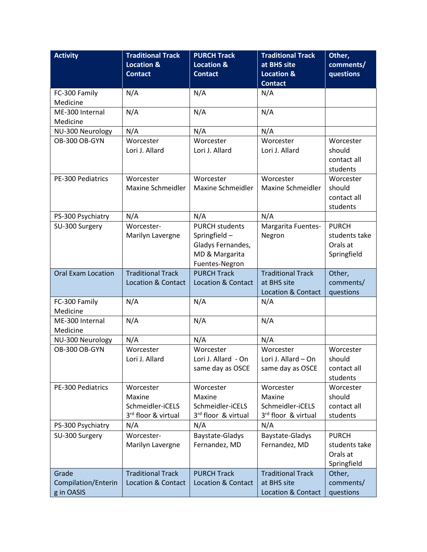| <b>Activity</b>                     | <b>Traditional Track</b>        | <b>PURCH Track</b>            | <b>Traditional Track</b> | Other,                  |
|-------------------------------------|---------------------------------|-------------------------------|--------------------------|-------------------------|
|                                     | <b>Location &amp;</b>           | <b>Location &amp;</b>         | at BHS site              | comments/               |
|                                     | <b>Contact</b>                  | <b>Contact</b>                | <b>Location &amp;</b>    | questions               |
|                                     |                                 |                               | <b>Contact</b>           |                         |
| FC-300 Family                       | N/A                             | N/A                           | N/A                      |                         |
| Medicine                            |                                 |                               |                          |                         |
| ME-300 Internal                     | N/A                             | N/A                           | N/A                      |                         |
| Medicine                            |                                 |                               |                          |                         |
| NU-300 Neurology                    | N/A                             | N/A                           | N/A                      |                         |
| OB-300 OB-GYN                       | Worcester                       | Worcester                     | Worcester                | Worcester               |
|                                     | Lori J. Allard                  | Lori J. Allard                | Lori J. Allard           | should                  |
|                                     |                                 |                               |                          | contact all             |
|                                     |                                 |                               |                          | students                |
| PE-300 Pediatrics                   | Worcester                       | Worcester                     | Worcester                | Worcester               |
|                                     | Maxine Schmeidler               | Maxine Schmeidler             | Maxine Schmeidler        | should                  |
|                                     |                                 |                               |                          | contact all<br>students |
|                                     |                                 | N/A                           | N/A                      |                         |
| PS-300 Psychiatry<br>SU-300 Surgery | N/A<br>Worcester-               | <b>PURCH students</b>         | Margarita Fuentes-       | <b>PURCH</b>            |
|                                     | Marilyn Lavergne                | Springfield-                  | Negron                   | students take           |
|                                     |                                 | Gladys Fernandes,             |                          | Orals at                |
|                                     |                                 | MD & Margarita                |                          | Springfield             |
|                                     |                                 | Fuentes-Negron                |                          |                         |
| <b>Oral Exam Location</b>           | <b>Traditional Track</b>        | <b>PURCH Track</b>            | <b>Traditional Track</b> | Other,                  |
|                                     | <b>Location &amp; Contact</b>   | <b>Location &amp; Contact</b> | at BHS site              | comments/               |
|                                     |                                 |                               | Location & Contact       | questions               |
| FC-300 Family                       | N/A                             | N/A                           | N/A                      |                         |
| Medicine                            |                                 |                               |                          |                         |
| ME-300 Internal                     | N/A                             | N/A                           | N/A                      |                         |
| Medicine                            |                                 |                               |                          |                         |
| NU-300 Neurology                    | N/A                             | N/A                           | N/A                      |                         |
| OB-300 OB-GYN                       | Worcester                       | Worcester                     | Worcester                | Worcester               |
|                                     | Lori J. Allard                  | Lori J. Allard - On           | Lori J. Allard - On      | should                  |
|                                     |                                 | same day as OSCE              | same day as OSCE         | contact all             |
|                                     |                                 |                               |                          | students                |
| PE-300 Pediatrics                   | Worcester                       | Worcester                     | Worcester                | Worcester               |
|                                     | Maxine                          | Maxine                        | Maxine                   | should                  |
|                                     | Schmeidler-iCELS                | Schmeidler-iCELS              | Schmeidler-iCELS         | contact all             |
|                                     | 3 <sup>rd</sup> floor & virtual | 3rd floor & virtual           | 3rd floor & virtual      | students                |
| PS-300 Psychiatry                   | N/A                             | N/A                           | N/A                      |                         |
| SU-300 Surgery                      | Worcester-                      | Baystate-Gladys               | Baystate-Gladys          | <b>PURCH</b>            |
|                                     | Marilyn Lavergne                | Fernandez, MD                 | Fernandez, MD            | students take           |
|                                     |                                 |                               |                          | Orals at                |
|                                     |                                 |                               |                          | Springfield             |
| Grade                               | <b>Traditional Track</b>        | <b>PURCH Track</b>            | <b>Traditional Track</b> | Other,                  |
| Compilation/Enterin                 | <b>Location &amp; Contact</b>   | <b>Location &amp; Contact</b> | at BHS site              | comments/               |
| g in OASIS                          |                                 |                               | Location & Contact       | questions               |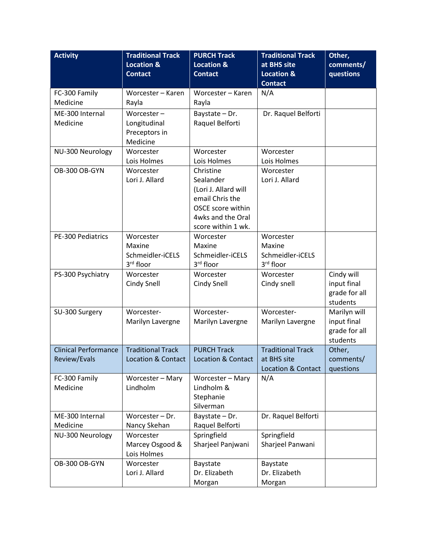| <b>Activity</b>             | <b>Traditional Track</b><br><b>Location &amp;</b> | <b>PURCH Track</b><br><b>Location &amp;</b> | <b>Traditional Track</b><br>at BHS site | Other,<br>comments/       |
|-----------------------------|---------------------------------------------------|---------------------------------------------|-----------------------------------------|---------------------------|
|                             | <b>Contact</b>                                    | <b>Contact</b>                              | <b>Location &amp;</b><br><b>Contact</b> | questions                 |
| FC-300 Family               | Worcester - Karen                                 | Worcester - Karen                           | N/A                                     |                           |
| Medicine                    | Rayla                                             | Rayla                                       |                                         |                           |
| ME-300 Internal             | Worcester $-$                                     | Baystate - Dr.                              | Dr. Raquel Belforti                     |                           |
| Medicine                    | Longitudinal                                      | Raquel Belforti                             |                                         |                           |
|                             | Preceptors in                                     |                                             |                                         |                           |
|                             | Medicine                                          |                                             |                                         |                           |
| NU-300 Neurology            | Worcester                                         | Worcester                                   | Worcester                               |                           |
|                             | Lois Holmes                                       | Lois Holmes                                 | Lois Holmes                             |                           |
| OB-300 OB-GYN               | Worcester<br>Lori J. Allard                       | Christine<br>Sealander                      | Worcester<br>Lori J. Allard             |                           |
|                             |                                                   | (Lori J. Allard will                        |                                         |                           |
|                             |                                                   | email Chris the                             |                                         |                           |
|                             |                                                   | OSCE score within                           |                                         |                           |
|                             |                                                   | 4wks and the Oral                           |                                         |                           |
|                             |                                                   | score within 1 wk.                          |                                         |                           |
| PE-300 Pediatrics           | Worcester                                         | Worcester                                   | Worcester                               |                           |
|                             | Maxine                                            | Maxine                                      | Maxine                                  |                           |
|                             | Schmeidler-iCELS                                  | Schmeidler-iCELS                            | Schmeidler-iCELS                        |                           |
|                             | 3rd floor                                         | 3rd floor                                   | 3rd floor                               |                           |
| PS-300 Psychiatry           | Worcester                                         | Worcester                                   | Worcester                               | Cindy will                |
|                             | <b>Cindy Snell</b>                                | Cindy Snell                                 | Cindy snell                             | input final               |
|                             |                                                   |                                             |                                         | grade for all<br>students |
| SU-300 Surgery              | Worcester-                                        | Worcester-                                  | Worcester-                              | Marilyn will              |
|                             | Marilyn Lavergne                                  | Marilyn Lavergne                            | Marilyn Lavergne                        | input final               |
|                             |                                                   |                                             |                                         | grade for all             |
|                             |                                                   |                                             |                                         | students                  |
| <b>Clinical Performance</b> | <b>Traditional Track</b>                          | <b>PURCH Track</b>                          | <b>Traditional Track</b>                | Other,                    |
| Review/Evals                | Location & Contact                                | Location & Contact                          | at BHS site                             | comments/                 |
|                             |                                                   |                                             | <b>Location &amp; Contact</b>           | questions                 |
| FC-300 Family               | Worcester - Mary                                  | Worcester - Mary                            | N/A                                     |                           |
| Medicine                    | Lindholm                                          | Lindholm &                                  |                                         |                           |
|                             |                                                   | Stephanie                                   |                                         |                           |
|                             |                                                   | Silverman                                   |                                         |                           |
| ME-300 Internal<br>Medicine | Worcester - Dr.<br>Nancy Skehan                   | Baystate - Dr.<br>Raquel Belforti           | Dr. Raquel Belforti                     |                           |
| NU-300 Neurology            | Worcester                                         | Springfield                                 | Springfield                             |                           |
|                             | Marcey Osgood &                                   | Sharjeel Panjwani                           | Sharjeel Panwani                        |                           |
|                             | Lois Holmes                                       |                                             |                                         |                           |
| OB-300 OB-GYN               | Worcester                                         | Baystate                                    | Baystate                                |                           |
|                             | Lori J. Allard                                    | Dr. Elizabeth                               | Dr. Elizabeth                           |                           |
|                             |                                                   | Morgan                                      | Morgan                                  |                           |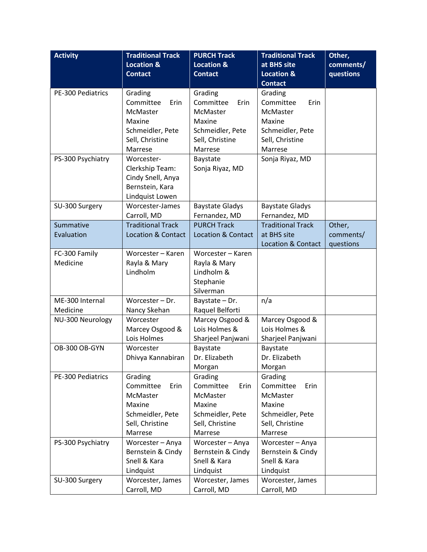| <b>Activity</b>              | <b>Traditional Track</b>      | <b>PURCH Track</b>                 | <b>Traditional Track</b>      | Other,    |
|------------------------------|-------------------------------|------------------------------------|-------------------------------|-----------|
|                              | <b>Location &amp;</b>         | <b>Location &amp;</b>              | at BHS site                   | comments/ |
|                              | <b>Contact</b>                | <b>Contact</b>                     | <b>Location &amp;</b>         | questions |
|                              |                               |                                    | <b>Contact</b>                |           |
| PE-300 Pediatrics            | Grading                       | Grading                            | Grading                       |           |
|                              | Committee<br>Erin             | Committee<br>Erin                  | Committee<br>Erin             |           |
|                              | McMaster                      | McMaster                           | McMaster                      |           |
|                              | Maxine                        | Maxine                             | Maxine                        |           |
|                              | Schmeidler, Pete              | Schmeidler, Pete                   | Schmeidler, Pete              |           |
|                              | Sell, Christine               | Sell, Christine                    | Sell, Christine               |           |
|                              | Marrese                       | Marrese                            | Marrese                       |           |
| PS-300 Psychiatry            | Worcester-                    | Baystate                           | Sonja Riyaz, MD               |           |
|                              | Clerkship Team:               | Sonja Riyaz, MD                    |                               |           |
|                              | Cindy Snell, Anya             |                                    |                               |           |
|                              | Bernstein, Kara               |                                    |                               |           |
|                              | Lindquist Lowen               |                                    |                               |           |
| SU-300 Surgery               | Worcester-James               | <b>Baystate Gladys</b>             | <b>Baystate Gladys</b>        |           |
|                              | Carroll, MD                   | Fernandez, MD                      | Fernandez, MD                 |           |
| Summative                    | <b>Traditional Track</b>      | <b>PURCH Track</b>                 | <b>Traditional Track</b>      | Other,    |
| Evaluation                   | <b>Location &amp; Contact</b> | <b>Location &amp; Contact</b>      | at BHS site                   | comments/ |
|                              |                               |                                    | <b>Location &amp; Contact</b> | questions |
| FC-300 Family                | Worcester - Karen             | Worcester - Karen                  |                               |           |
| Medicine                     | Rayla & Mary                  | Rayla & Mary                       |                               |           |
|                              | Lindholm                      | Lindholm &                         |                               |           |
|                              |                               | Stephanie                          |                               |           |
|                              |                               | Silverman                          |                               |           |
| ME-300 Internal              | Worcester - Dr.               | Baystate - Dr.                     | n/a                           |           |
| Medicine<br>NU-300 Neurology | Nancy Skehan<br>Worcester     | Raquel Belforti<br>Marcey Osgood & | Marcey Osgood &               |           |
|                              | Marcey Osgood &               | Lois Holmes &                      | Lois Holmes &                 |           |
|                              | Lois Holmes                   | Sharjeel Panjwani                  | Sharjeel Panjwani             |           |
| OB-300 OB-GYN                | Worcester                     | Baystate                           | Baystate                      |           |
|                              | Dhivya Kannabiran             | Dr. Elizabeth                      | Dr. Elizabeth                 |           |
|                              |                               | Morgan                             | Morgan                        |           |
| PE-300 Pediatrics            | Grading                       | Grading                            | Grading                       |           |
|                              | Committee<br>Erin             | Committee<br>Erin                  | Committee<br>Erin             |           |
|                              | McMaster                      | McMaster                           | McMaster                      |           |
|                              | Maxine                        | Maxine                             | Maxine                        |           |
|                              | Schmeidler, Pete              | Schmeidler, Pete                   | Schmeidler, Pete              |           |
|                              | Sell, Christine               | Sell, Christine                    | Sell, Christine               |           |
|                              | Marrese                       | Marrese                            | Marrese                       |           |
| PS-300 Psychiatry            | Worcester - Anya              | Worcester - Anya                   | Worcester - Anya              |           |
|                              | Bernstein & Cindy             | Bernstein & Cindy                  | Bernstein & Cindy             |           |
|                              | Snell & Kara                  | Snell & Kara                       | Snell & Kara                  |           |
|                              | Lindquist                     | Lindquist                          | Lindquist                     |           |
| SU-300 Surgery               | Worcester, James              | Worcester, James                   | Worcester, James              |           |
|                              | Carroll, MD                   | Carroll, MD                        | Carroll, MD                   |           |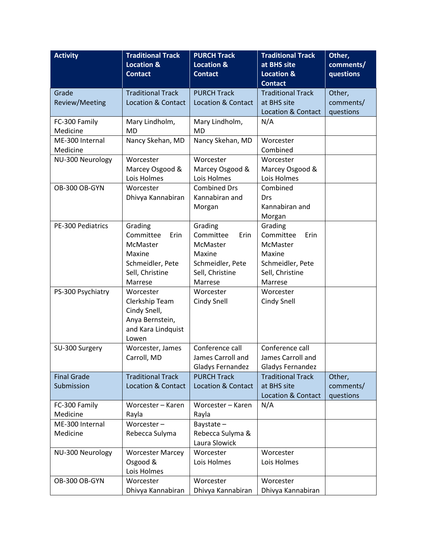| <b>Activity</b>    | <b>Traditional Track</b>      | <b>PURCH Track</b>            | <b>Traditional Track</b>      | Other,    |
|--------------------|-------------------------------|-------------------------------|-------------------------------|-----------|
|                    | <b>Location &amp;</b>         | <b>Location &amp;</b>         | at BHS site                   | comments/ |
|                    | <b>Contact</b>                | <b>Contact</b>                | <b>Location &amp;</b>         | questions |
|                    |                               |                               | <b>Contact</b>                |           |
| Grade              | <b>Traditional Track</b>      | <b>PURCH Track</b>            | <b>Traditional Track</b>      | Other,    |
| Review/Meeting     | <b>Location &amp; Contact</b> | <b>Location &amp; Contact</b> | at BHS site                   | comments/ |
|                    |                               |                               | <b>Location &amp; Contact</b> | questions |
| FC-300 Family      | Mary Lindholm,                | Mary Lindholm,                | N/A                           |           |
| Medicine           | <b>MD</b>                     | <b>MD</b>                     |                               |           |
| ME-300 Internal    | Nancy Skehan, MD              | Nancy Skehan, MD              | Worcester                     |           |
| Medicine           |                               |                               | Combined                      |           |
| NU-300 Neurology   | Worcester                     | Worcester                     | Worcester                     |           |
|                    | Marcey Osgood &               | Marcey Osgood &               | Marcey Osgood &               |           |
|                    | Lois Holmes                   | Lois Holmes                   | Lois Holmes                   |           |
| OB-300 OB-GYN      | Worcester                     | <b>Combined Drs</b>           | Combined                      |           |
|                    | Dhivya Kannabiran             | Kannabiran and                | Drs                           |           |
|                    |                               | Morgan                        | Kannabiran and                |           |
|                    |                               |                               | Morgan                        |           |
| PE-300 Pediatrics  | Grading                       | Grading                       | Grading                       |           |
|                    | Committee<br>Erin             | Committee<br>Erin             | Committee<br>Erin             |           |
|                    | McMaster                      | McMaster                      | McMaster                      |           |
|                    | Maxine                        | Maxine                        | Maxine                        |           |
|                    | Schmeidler, Pete              | Schmeidler, Pete              | Schmeidler, Pete              |           |
|                    | Sell, Christine               | Sell, Christine               | Sell, Christine<br>Marrese    |           |
|                    | Marrese<br>Worcester          | Marrese<br>Worcester          | Worcester                     |           |
| PS-300 Psychiatry  | Clerkship Team                | Cindy Snell                   | Cindy Snell                   |           |
|                    | Cindy Snell,                  |                               |                               |           |
|                    | Anya Bernstein,               |                               |                               |           |
|                    | and Kara Lindquist            |                               |                               |           |
|                    | Lowen                         |                               |                               |           |
| SU-300 Surgery     | Worcester, James              | Conference call               | Conference call               |           |
|                    | Carroll, MD                   | James Carroll and             | James Carroll and             |           |
|                    |                               | <b>Gladys Fernandez</b>       | Gladys Fernandez              |           |
| <b>Final Grade</b> | <b>Traditional Track</b>      | <b>PURCH Track</b>            | <b>Traditional Track</b>      | Other,    |
| Submission         | <b>Location &amp; Contact</b> | <b>Location &amp; Contact</b> | at BHS site                   | comments/ |
|                    |                               |                               | <b>Location &amp; Contact</b> | questions |
| FC-300 Family      | Worcester - Karen             | Worcester - Karen             | N/A                           |           |
| Medicine           | Rayla                         | Rayla                         |                               |           |
| ME-300 Internal    | Worcester-                    | Baystate-                     |                               |           |
| Medicine           | Rebecca Sulyma                | Rebecca Sulyma &              |                               |           |
|                    |                               | Laura Slowick                 |                               |           |
| NU-300 Neurology   | <b>Worcester Marcey</b>       | Worcester                     | Worcester                     |           |
|                    | Osgood &                      | Lois Holmes                   | Lois Holmes                   |           |
|                    | Lois Holmes                   |                               |                               |           |
| OB-300 OB-GYN      | Worcester                     | Worcester                     | Worcester                     |           |
|                    | Dhivya Kannabiran             | Dhivya Kannabiran             | Dhivya Kannabiran             |           |